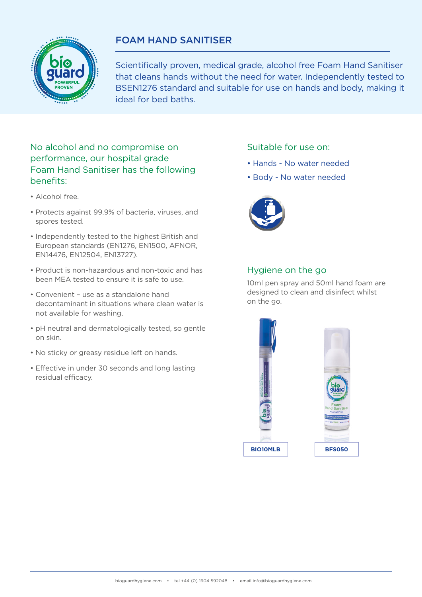## FOAM HAND SANITISER



Scientifically proven, medical grade, alcohol free Foam Hand Sanitiser that cleans hands without the need for water. Independently tested to BSEN1276 standard and suitable for use on hands and body, making it ideal for bed baths.

## No alcohol and no compromise on performance, our hospital grade Foam Hand Sanitiser has the following benefits:

- Alcohol free.
- Protects against 99.9% of bacteria, viruses, and spores tested.
- Independently tested to the highest British and European standards (EN1276, EN1500, AFNOR, EN14476, EN12504, EN13727).
- Product is non-hazardous and non-toxic and has been MEA tested to ensure it is safe to use.
- Convenient use as a standalone hand decontaminant in situations where clean water is not available for washing.
- pH neutral and dermatologically tested, so gentle on skin.
- No sticky or greasy residue left on hands.
- Effective in under 30 seconds and long lasting residual efficacy.

## Suitable for use on:

- Hands No water needed
- Body No water needed



## Hygiene on the go

10ml pen spray and 50ml hand foam are designed to clean and disinfect whilst on the go.